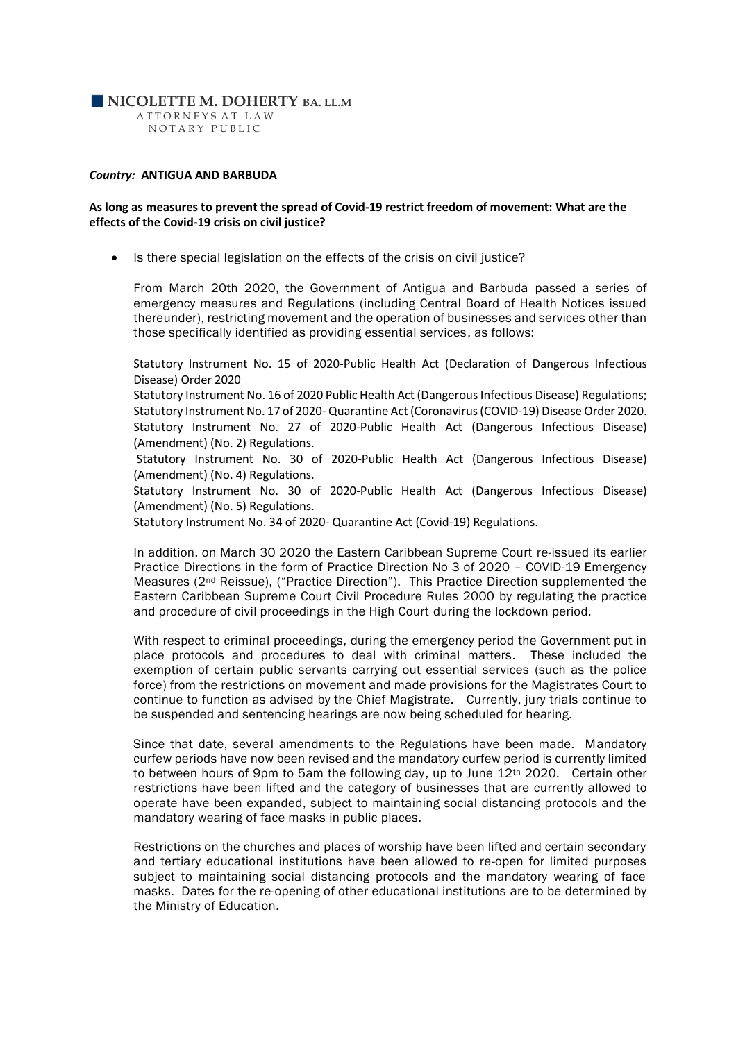## **NICOLETTE M. DOHERTY BA. LL.M**

 A T T O R N E Y S A T L A W NOTARY PUBLIC

#### *Country:* **ANTIGUA AND BARBUDA**

### **As long as measures to prevent the spread of Covid-19 restrict freedom of movement: What are the effects of the Covid-19 crisis on civil justice?**

• Is there special legislation on the effects of the crisis on civil justice?

From March 20th 2020, the Government of Antigua and Barbuda passed a series of emergency measures and Regulations (including Central Board of Health Notices issued thereunder), restricting movement and the operation of businesses and services other than those specifically identified as providing essential services, as follows:

Statutory Instrument No. 15 of 2020-Public Health Act (Declaration of Dangerous Infectious Disease) Order 2020

Statutory Instrument No. 16 of 2020 Public Health Act (Dangerous Infectious Disease) Regulations; Statutory Instrument No. 17 of 2020- Quarantine Act (Coronavirus (COVID-19) Disease Order 2020. Statutory Instrument No. 27 of 2020-Public Health Act (Dangerous Infectious Disease) (Amendment) (No. 2) Regulations.

Statutory Instrument No. 30 of 2020-Public Health Act (Dangerous Infectious Disease) (Amendment) (No. 4) Regulations.

Statutory Instrument No. 30 of 2020-Public Health Act (Dangerous Infectious Disease) (Amendment) (No. 5) Regulations.

Statutory Instrument No. 34 of 2020- Quarantine Act (Covid-19) Regulations.

In addition, on March 30 2020 the Eastern Caribbean Supreme Court re-issued its earlier Practice Directions in the form of Practice Direction No 3 of 2020 – COVID-19 Emergency Measures (2nd Reissue), ("Practice Direction"). This Practice Direction supplemented the Eastern Caribbean Supreme Court Civil Procedure Rules 2000 by regulating the practice and procedure of civil proceedings in the High Court during the lockdown period.

With respect to criminal proceedings, during the emergency period the Government put in place protocols and procedures to deal with criminal matters. These included the exemption of certain public servants carrying out essential services (such as the police force) from the restrictions on movement and made provisions for the Magistrates Court to continue to function as advised by the Chief Magistrate. Currently, jury trials continue to be suspended and sentencing hearings are now being scheduled for hearing.

Since that date, several amendments to the Regulations have been made. Mandatory curfew periods have now been revised and the mandatory curfew period is currently limited to between hours of 9pm to 5am the following day, up to June 12th 2020. Certain other restrictions have been lifted and the category of businesses that are currently allowed to operate have been expanded, subject to maintaining social distancing protocols and the mandatory wearing of face masks in public places.

Restrictions on the churches and places of worship have been lifted and certain secondary and tertiary educational institutions have been allowed to re-open for limited purposes subject to maintaining social distancing protocols and the mandatory wearing of face masks. Dates for the re-opening of other educational institutions are to be determined by the Ministry of Education.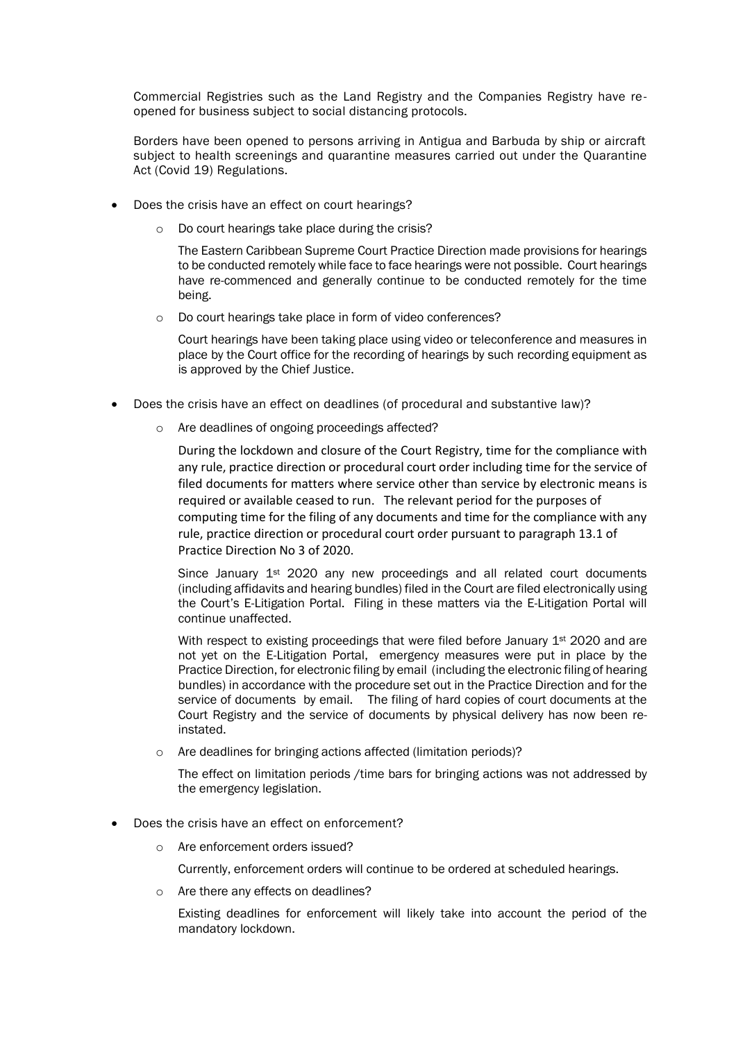Commercial Registries such as the Land Registry and the Companies Registry have reopened for business subject to social distancing protocols.

Borders have been opened to persons arriving in Antigua and Barbuda by ship or aircraft subject to health screenings and quarantine measures carried out under the Quarantine Act (Covid 19) Regulations.

- Does the crisis have an effect on court hearings?
	- o Do court hearings take place during the crisis?

The Eastern Caribbean Supreme Court Practice Direction made provisions for hearings to be conducted remotely while face to face hearings were not possible. Court hearings have re-commenced and generally continue to be conducted remotely for the time being.

o Do court hearings take place in form of video conferences?

Court hearings have been taking place using video or teleconference and measures in place by the Court office for the recording of hearings by such recording equipment as is approved by the Chief Justice.

- Does the crisis have an effect on deadlines (of procedural and substantive law)?
	- o Are deadlines of ongoing proceedings affected?

During the lockdown and closure of the Court Registry, time for the compliance with any rule, practice direction or procedural court order including time for the service of filed documents for matters where service other than service by electronic means is required or available ceased to run. The relevant period for the purposes of computing time for the filing of any documents and time for the compliance with any rule, practice direction or procedural court order pursuant to paragraph 13.1 of Practice Direction No 3 of 2020.

Since January 1<sup>st</sup> 2020 any new proceedings and all related court documents (including affidavits and hearing bundles) filed in the Court are filed electronically using the Court's E-Litigation Portal. Filing in these matters via the E-Litigation Portal will continue unaffected.

With respect to existing proceedings that were filed before January 1<sup>st</sup> 2020 and are not yet on the E-Litigation Portal, emergency measures were put in place by the Practice Direction, for electronic filing by email (including the electronic filing of hearing bundles) in accordance with the procedure set out in the Practice Direction and for the service of documents by email. The filing of hard copies of court documents at the Court Registry and the service of documents by physical delivery has now been reinstated.

o Are deadlines for bringing actions affected (limitation periods)?

The effect on limitation periods /time bars for bringing actions was not addressed by the emergency legislation.

- Does the crisis have an effect on enforcement?
	- o Are enforcement orders issued?

Currently, enforcement orders will continue to be ordered at scheduled hearings.

o Are there any effects on deadlines?

Existing deadlines for enforcement will likely take into account the period of the mandatory lockdown.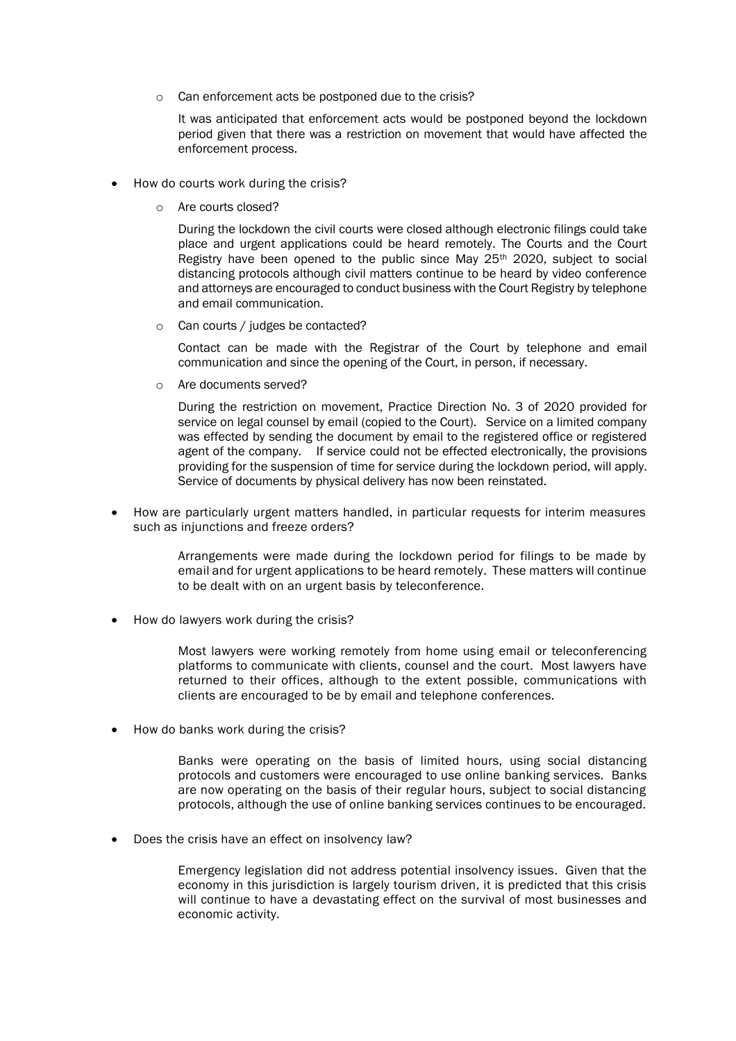o Can enforcement acts be postponed due to the crisis?

It was anticipated that enforcement acts would be postponed beyond the lockdown period given that there was a restriction on movement that would have affected the enforcement process.

- How do courts work during the crisis?
	- o Are courts closed?

During the lockdown the civil courts were closed although electronic filings could take place and urgent applications could be heard remotely. The Courts and the Court Registry have been opened to the public since May 25<sup>th</sup> 2020, subject to social distancing protocols although civil matters continue to be heard by video conference and attorneys are encouraged to conduct business with the Court Registry by telephone and email communication.

o Can courts / judges be contacted?

Contact can be made with the Registrar of the Court by telephone and email communication and since the opening of the Court, in person, if necessary.

Are documents served?

During the restriction on movement, Practice Direction No. 3 of 2020 provided for service on legal counsel by email (copied to the Court). Service on a limited company was effected by sending the document by email to the registered office or registered agent of the company. If service could not be effected electronically, the provisions providing for the suspension of time for service during the lockdown period, will apply. Service of documents by physical delivery has now been reinstated.

• How are particularly urgent matters handled, in particular requests for interim measures such as injunctions and freeze orders?

> Arrangements were made during the lockdown period for filings to be made by email and for urgent applications to be heard remotely. These matters will continue to be dealt with on an urgent basis by teleconference.

• How do lawyers work during the crisis?

Most lawyers were working remotely from home using email or teleconferencing platforms to communicate with clients, counsel and the court. Most lawyers have returned to their offices, although to the extent possible, communications with clients are encouraged to be by email and telephone conferences.

• How do banks work during the crisis?

Banks were operating on the basis of limited hours, using social distancing protocols and customers were encouraged to use online banking services. Banks are now operating on the basis of their regular hours, subject to social distancing protocols, although the use of online banking services continues to be encouraged.

Does the crisis have an effect on insolvency law?

Emergency legislation did not address potential insolvency issues. Given that the economy in this jurisdiction is largely tourism driven, it is predicted that this crisis will continue to have a devastating effect on the survival of most businesses and economic activity.